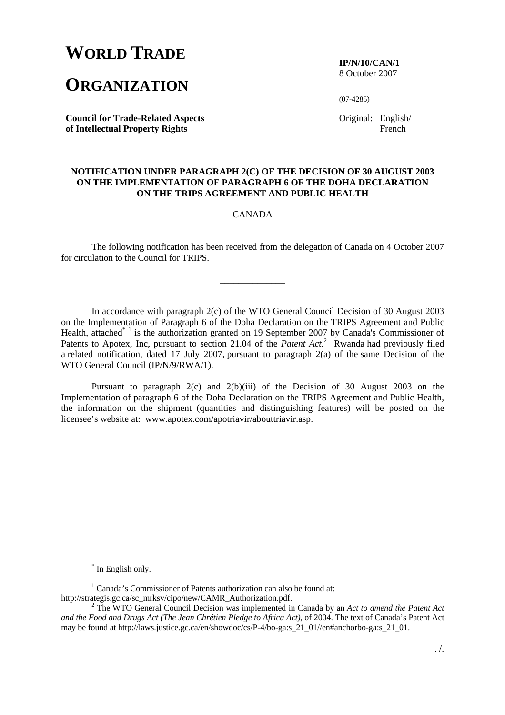# **WORLD TRADE**

## **ORGANIZATION**

**IP/N/10/CAN/1**  8 October 2007

(07-4285)

**Council for Trade-Related Aspects of Intellectual Property Rights** 

Original: English/ French

#### **NOTIFICATION UNDER PARAGRAPH 2(C) OF THE DECISION OF 30 AUGUST 2003 ON THE IMPLEMENTATION OF PARAGRAPH 6 OF THE DOHA DECLARATION ON THE TRIPS AGREEMENT AND PUBLIC HEALTH**

CANADA

 The following notification has been received from the delegation of Canada on 4 October 2007 for circulation to the Council for TRIPS.

**\_\_\_\_\_\_\_\_\_\_\_\_\_\_** 

In accordance with paragraph 2(c) of the WTO General Council Decision of 30 August 2003 on the Implementation of Paragraph 6 of the Doha Declaration on the TRIPS Agreement and Public Health, attached<sup>\* 1</sup> is the authorization granted on 19 September 2007 by Canada's Commissioner of Patents to Apotex, Inc, pursuant to section 21.04 of the *Patent Act*.<sup>2</sup> Rwanda had previously filed a related notification, dated 17 July 2007, pursuant to paragraph 2(a) of the same Decision of the WTO General Council (IP/N/9/RWA/1).

 Pursuant to paragraph 2(c) and 2(b)(iii) of the Decision of 30 August 2003 on the Implementation of paragraph 6 of the Doha Declaration on the TRIPS Agreement and Public Health, the information on the shipment (quantities and distinguishing features) will be posted on the licensee's website at: www.apotex.com/apotriavir/abouttriavir.asp.

 <sup>\*</sup> \* In English only.

<sup>&</sup>lt;sup>1</sup> Canada's Commissioner of Patents authorization can also be found at: http://strategis.gc.ca/sc\_mrksv/cipo/new/CAMR\_Authorization.pdf. 2

The WTO General Council Decision was implemented in Canada by an *Act to amend the Patent Act and the Food and Drugs Act (The Jean Chrétien Pledge to Africa Act)*, of 2004. The text of Canada's Patent Act may be found at http://laws.justice.gc.ca/en/showdoc/cs/P-4/bo-ga:s\_21\_01//en#anchorbo-ga:s\_21\_01.